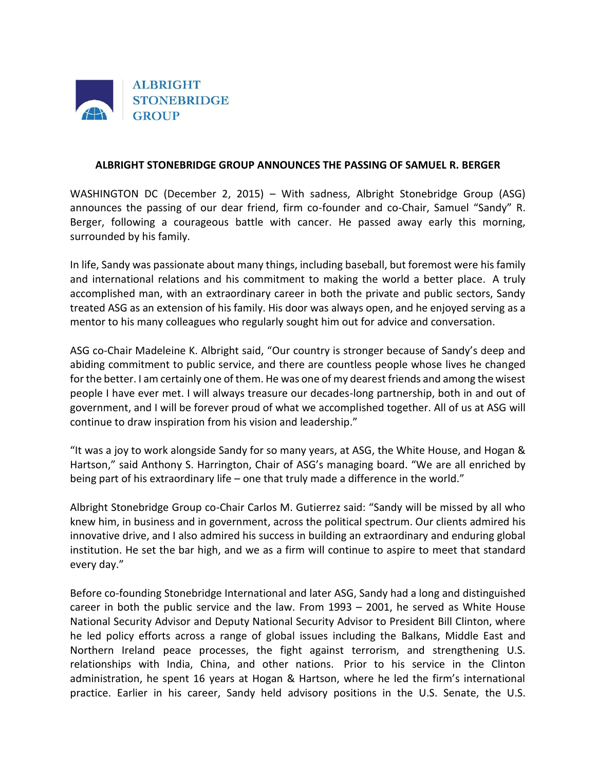

## **ALBRIGHT STONEBRIDGE GROUP ANNOUNCES THE PASSING OF SAMUEL R. BERGER**

WASHINGTON DC (December 2, 2015) – With sadness, Albright Stonebridge Group (ASG) announces the passing of our dear friend, firm co-founder and co-Chair, Samuel "Sandy" R. Berger, following a courageous battle with cancer. He passed away early this morning, surrounded by his family.

In life, Sandy was passionate about many things, including baseball, but foremost were his family and international relations and his commitment to making the world a better place. A truly accomplished man, with an extraordinary career in both the private and public sectors, Sandy treated ASG as an extension of his family. His door was always open, and he enjoyed serving as a mentor to his many colleagues who regularly sought him out for advice and conversation.

ASG co-Chair Madeleine K. Albright said, "Our country is stronger because of Sandy's deep and abiding commitment to public service, and there are countless people whose lives he changed for the better. I am certainly one of them. He was one of my dearest friends and among the wisest people I have ever met. I will always treasure our decades-long partnership, both in and out of government, and I will be forever proud of what we accomplished together. All of us at ASG will continue to draw inspiration from his vision and leadership."

"It was a joy to work alongside Sandy for so many years, at ASG, the White House, and Hogan & Hartson," said Anthony S. Harrington, Chair of ASG's managing board. "We are all enriched by being part of his extraordinary life – one that truly made a difference in the world."

Albright Stonebridge Group co-Chair Carlos M. Gutierrez said: "Sandy will be missed by all who knew him, in business and in government, across the political spectrum. Our clients admired his innovative drive, and I also admired his success in building an extraordinary and enduring global institution. He set the bar high, and we as a firm will continue to aspire to meet that standard every day."

Before co-founding Stonebridge International and later ASG, Sandy had a long and distinguished career in both the public service and the law. From 1993 – 2001, he served as White House National Security Advisor and Deputy National Security Advisor to President Bill Clinton, where he led policy efforts across a range of global issues including the Balkans, Middle East and Northern Ireland peace processes, the fight against terrorism, and strengthening U.S. relationships with India, China, and other nations. Prior to his service in the Clinton administration, he spent 16 years at Hogan & Hartson, where he led the firm's international practice. Earlier in his career, Sandy held advisory positions in the U.S. Senate, the U.S.